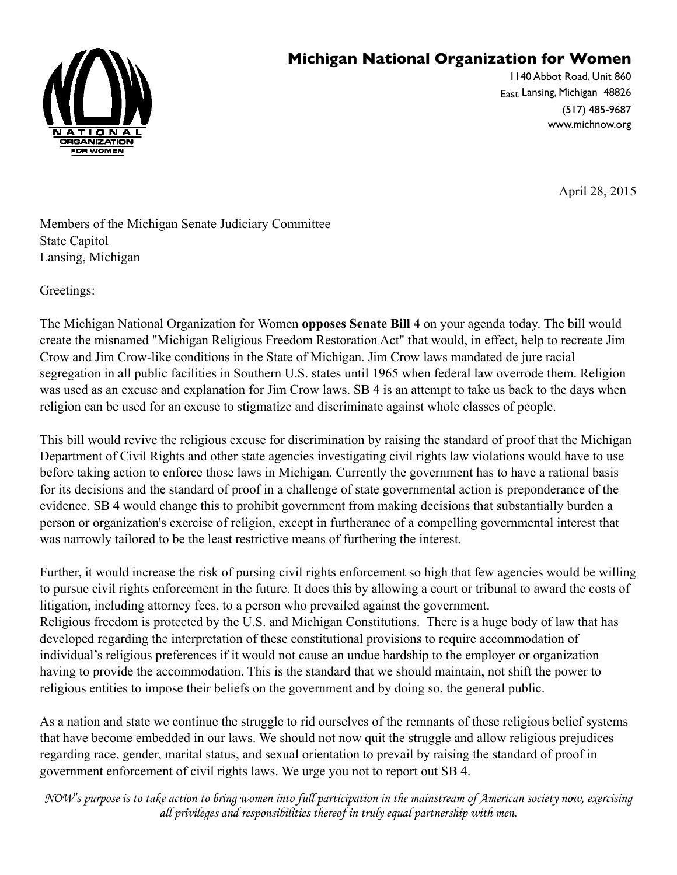## **Michigan National Organization for Women**



1140 Abbot Road, Unit 860 East Lansing, Michigan 48826 (517) 485-9687 www.michnow.org

April 28, 2015

Members of the Michigan Senate Judiciary Committee State Capitol Lansing, Michigan

Greetings:

The Michigan National Organization for Women **opposes Senate Bill 4** on your agenda today. The bill would create the misnamed "Michigan Religious Freedom Restoration Act" that would, in effect, help to recreate Jim Crow and Jim Crow-like conditions in the State of Michigan. Jim Crow laws mandated de jure racial segregation in all public facilities in Southern U.S. states until 1965 when federal law overrode them. Religion was used as an excuse and explanation for Jim Crow laws. SB 4 is an attempt to take us back to the days when religion can be used for an excuse to stigmatize and discriminate against whole classes of people.

This bill would revive the religious excuse for discrimination by raising the standard of proof that the Michigan Department of Civil Rights and other state agencies investigating civil rights law violations would have to use before taking action to enforce those laws in Michigan. Currently the government has to have a rational basis for its decisions and the standard of proof in a challenge of state governmental action is preponderance of the evidence. SB 4 would change this to prohibit government from making decisions that substantially burden a person or organization's exercise of religion, except in furtherance of a compelling governmental interest that was narrowly tailored to be the least restrictive means of furthering the interest.

Further, it would increase the risk of pursing civil rights enforcement so high that few agencies would be willing to pursue civil rights enforcement in the future. It does this by allowing a court or tribunal to award the costs of litigation, including attorney fees, to a person who prevailed against the government. Religious freedom is protected by the U.S. and Michigan Constitutions. There is a huge body of law that has developed regarding the interpretation of these constitutional provisions to require accommodation of individual's religious preferences if it would not cause an undue hardship to the employer or organization having to provide the accommodation. This is the standard that we should maintain, not shift the power to religious entities to impose their beliefs on the government and by doing so, the general public.

As a nation and state we continue the struggle to rid ourselves of the remnants of these religious belief systems that have become embedded in our laws. We should not now quit the struggle and allow religious prejudices regarding race, gender, marital status, and sexual orientation to prevail by raising the standard of proof in government enforcement of civil rights laws. We urge you not to report out SB 4.

*NOW's purpose is to take action to bring women into full participation in the mainstream of American society now, exercising all privileges and responsibilities thereof in truly equal partnership with men.*